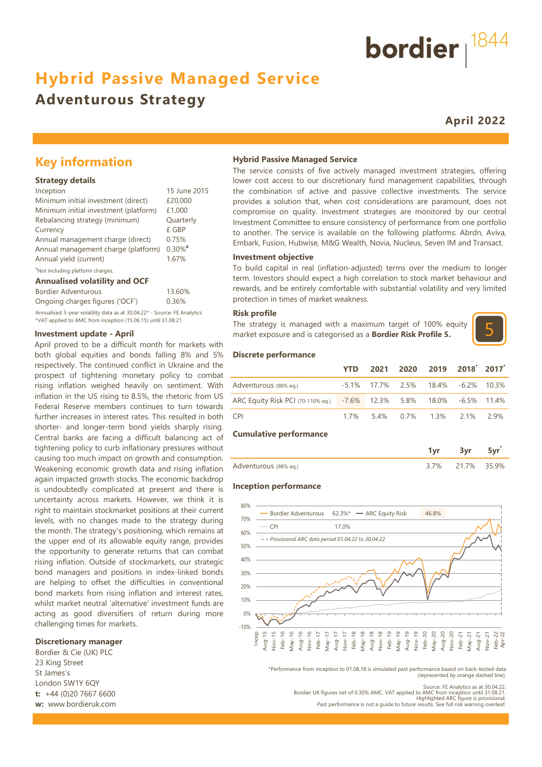# **Hybrid Passive Managed Service**

# **Adventurous Strategy**

**April 2022**

bordier  $1844$ 

## **Key information**

#### **Strategy details**

| Inception                             | 15 June 2015 |
|---------------------------------------|--------------|
| Minimum initial investment (direct)   | £20,000      |
| Minimum initial investment (platform) | £1,000       |
| Rebalancing strategy (minimum)        | Quarterly    |
| Currency                              | £ GBP        |
| Annual management charge (direct)     | 0.75%        |
| Annual management charge (platform)   | $0.30\%$ #   |
| Annual yield (current)                | 1.67%        |
|                                       |              |

#### #Not including platform charges.

#### **Annualised volatility and OCF**

| Bordier Adventurous                                                      | 13.60% |
|--------------------------------------------------------------------------|--------|
| Ongoing charges figures ('OCF')                                          | 0.36%  |
| Annualised 3-year volatility data as at 30.04.22* - Source: FE Analytics |        |
| *VAT applied to AMC from inception (15.06.15) until 31.08.21             |        |

#### **Investment update - April**

April proved to be a difficult month for markets with both global equities and bonds falling 8% and 5% respectively. The continued conflict in Ukraine and the prospect of tightening monetary policy to combat rising inflation weighed heavily on sentiment. With inflation in the US rising to 8.5%, the rhetoric from US Federal Reserve members continues to turn towards further increases in interest rates. This resulted in both shorter- and longer-term bond yields sharply rising. Central banks are facing a difficult balancing act of tightening policy to curb inflationary pressures without causing too much impact on growth and consumption. Weakening economic growth data and rising inflation again impacted growth stocks. The economic backdrop is undoubtedly complicated at present and there is uncertainty across markets. However, we think it is right to maintain stockmarket positions at their current levels, with no changes made to the strategy during the month. The strategy's positioning, which remains at the upper end of its allowable equity range, provides the opportunity to generate returns that can combat rising inflation. Outside of stockmarkets, our strategic bond managers and positions in index-linked bonds are helping to offset the difficulties in conventional bond markets from rising inflation and interest rates, whilst market neutral 'alternative' investment funds are acting as good diversifiers of return during more challenging times for markets.<br> **10% - 10% - 10% - 10% - 10% - 10% - 10% - 10% - 10% - 10% - 10% - 10% - 10% - 10% - 10% - 10% - 10% - 10% - 10%**<br>  $\frac{8}{5}$ 

#### **Discretionary manager**

Bordier & Cie (UK) PLC 23 King Street St James's London SW1Y 6QY **t:** +44 (0)20 7667 6600 **w:** www.bordieruk.com

#### **Hybrid Passive Managed Service**

The service consists of five actively managed investment strategies, offering lower cost access to our discretionary fund management capabilities, through the combination of active and passive collective investments. The service provides a solution that, when cost considerations are paramount, does not compromise on quality. Investment strategies are monitored by our central Investment Committee to ensure consistency of performance from one portfolio to another. The service is available on the following platforms: Abrdn, Aviva, Embark, Fusion, Hubwise, M&G Wealth, Novia, Nucleus, Seven IM and Transact.

#### **Investment objective**

To build capital in real (inflation-adjusted) terms over the medium to longer term. Investors should expect a high correlation to stock market behaviour and rewards, and be entirely comfortable with substantial volatility and very limited protection in times of market weakness.

#### **Risk profile**

The strategy is managed with a maximum target of 100% equity market exposure and is categorised as a **Bordier Risk Profile 5.**



#### **Discrete performance**

|                                                                      | YTD. |  | 2021 2020 2019 2018 2017           |  |
|----------------------------------------------------------------------|------|--|------------------------------------|--|
| Adventurous (98% eg.)                                                |      |  | -5.1% 17.7% 2.5% 18.4% -6.2% 10.3% |  |
| ARC Equity Risk PCI (70-110% eq.) -7.6% 12.3% 5.8% 18.0% -6.5% 11.4% |      |  |                                    |  |
| CPI)                                                                 |      |  | 1.7% 5.4% 0.7% 1.3% 2.1% 2.9%      |  |

#### **Cumulative performance**

| Adventurous (98% eq.) | $7\%$ | 21 7% | 35.9% |
|-----------------------|-------|-------|-------|

#### **Inception performance**



\*Performance from inception to 01.08.18 is simulated past performance based on back-tested data (represented by orange dashed line).

Source: FE Analytics as at 30.04.22. Bordier UK figures net of 0.30% AMC. VAT applied to AMC from inception until 31.08.21. Highlighted ARC figure is provisional. Past performance is not a guide to future results. See full risk warning overleaf.